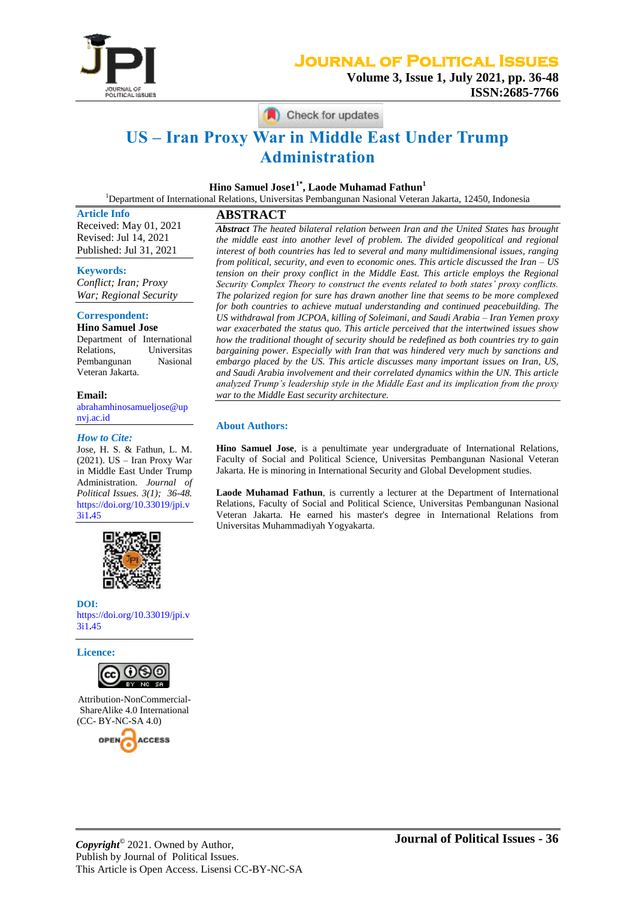

Check for updates

# **US – Iran Proxy War in Middle East Under Trump Administration**

**Hino Samuel Jose11\*, Laode Muhamad Fathun<sup>1</sup>**

<sup>1</sup>Department of International Relations, Universitas Pembangunan Nasional Veteran Jakarta, 12450, Indonesia

**Article Info** Received: May 01, 2021 Revised: Jul 14, 2021 Published: Jul 31, 2021

**Keywords:**

*Conflict; Iran; Proxy War; Regional Security*

## **Correspondent:**

**Hino Samuel Jose** Department of International Relations, Universitas Pembangunan Nasional Veteran Jakarta.

#### **Email:**

[abrahamhinosamueljose@up](mailto:abrahamhinosamueljose@upnvj.ac.id) [nvj.ac.id](mailto:abrahamhinosamueljose@upnvj.ac.id)

#### *How to Cite:*

Jose, H. S. & Fathun, L. M. (2021). US – Iran Proxy War in Middle East Under Trump Administration. *Journal of Political Issues. 3(1); 36-48.* [https://doi.org/10.33019/jpi.v](https://doi.org/10.33019/jpi.v3i1.45) [3i1](https://doi.org/10.33019/jpi.v3i1.45)**.**45



**DOI:** [https://doi.org/10.33019/jpi.v](https://doi.org/10.33019/jpi.v3i1.45) [3i1](https://doi.org/10.33019/jpi.v3i1.45)**.**45

**Licence:**



Attribution-NonCommercial-ShareAlike 4.0 International (CC- BY-NC-SA 4.0)



**ABSTRACT** *Abstract The heated bilateral relation between Iran and the United States has brought the middle east into another level of problem. The divided geopolitical and regional interest of both countries has led to several and many multidimensional issues, ranging from political, security, and even to economic ones. This article discussed the Iran – US tension on their proxy conflict in the Middle East. This article employs the Regional Security Complex Theory to construct the events related to both states' proxy conflicts. The polarized region for sure has drawn another line that seems to be more complexed for both countries to achieve mutual understanding and continued peacebuilding. The US withdrawal from JCPOA, killing of Soleimani, and Saudi Arabia – Iran Yemen proxy war exacerbated the status quo. This article perceived that the intertwined issues show how the traditional thought of security should be redefined as both countries try to gain bargaining power. Especially with Iran that was hindered very much by sanctions and embargo placed by the US. This article discusses many important issues on Iran, US, and Saudi Arabia involvement and their correlated dynamics within the UN. This article analyzed Trump's leadership style in the Middle East and its implication from the proxy war to the Middle East security architecture.*

#### **About Authors:**

**Hino Samuel Jose**, is a penultimate year undergraduate of International Relations, Faculty of Social and Political Science, Universitas Pembangunan Nasional Veteran Jakarta. He is minoring in International Security and Global Development studies.

**Laode Muhamad Fathun**, is currently a lecturer at the Department of International Relations, Faculty of Social and Political Science, Universitas Pembangunan Nasional Veteran Jakarta. He earned his master's degree in International Relations from Universitas Muhammadiyah Yogyakarta.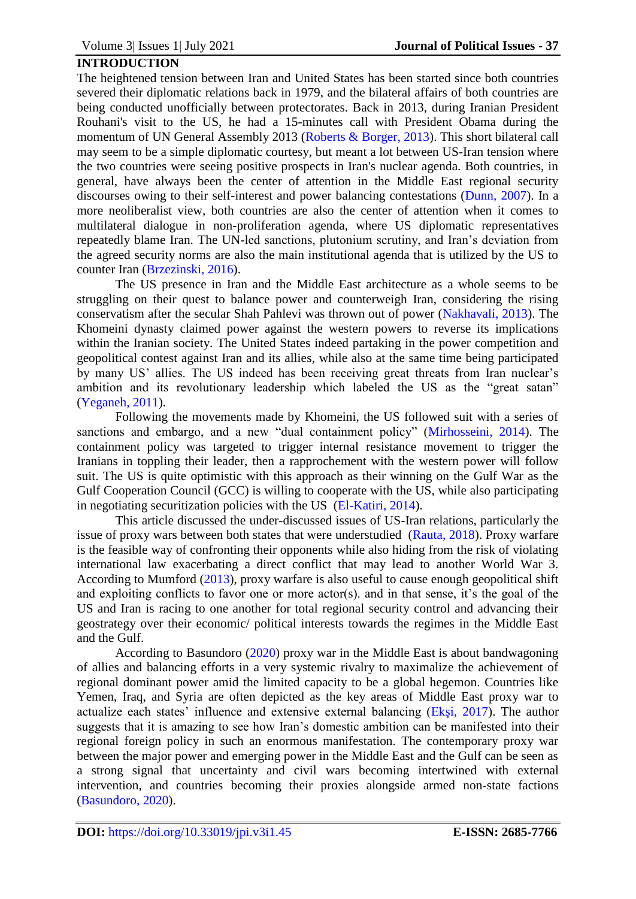# **INTRODUCTION**

The heightened tension between Iran and United States has been started since both countries severed their diplomatic relations back in 1979, and the bilateral affairs of both countries are being conducted unofficially between protectorates. Back in 2013, during Iranian President Rouhani's visit to the US, he had a 15-minutes call with President Obama during the momentum of UN General Assembly 2013 [\(Roberts & Borger, 2013\)](#page-11-0). This short bilateral call may seem to be a simple diplomatic courtesy, but meant a lot between US-Iran tension where the two countries were seeing positive prospects in Iran's nuclear agenda. Both countries, in general, have always been the center of attention in the Middle East regional security discourses owing to their self-interest and power balancing contestations [\(Dunn, 2007\)](#page-10-0). In a more neoliberalist view, both countries are also the center of attention when it comes to multilateral dialogue in non-proliferation agenda, where US diplomatic representatives repeatedly blame Iran. The UN-led sanctions, plutonium scrutiny, and Iran's deviation from the agreed security norms are also the main institutional agenda that is utilized by the US to counter Iran [\(Brzezinski, 2016\)](#page-10-1).

The US presence in Iran and the Middle East architecture as a whole seems to be struggling on their quest to balance power and counterweigh Iran, considering the rising conservatism after the secular Shah Pahlevi was thrown out of power [\(Nakhavali, 2013\)](#page-11-1). The Khomeini dynasty claimed power against the western powers to reverse its implications within the Iranian society. The United States indeed partaking in the power competition and geopolitical contest against Iran and its allies, while also at the same time being participated by many US' allies. The US indeed has been receiving great threats from Iran nuclear's ambition and its revolutionary leadership which labeled the US as the "great satan" [\(Yeganeh, 2011\)](#page-12-0).

Following the movements made by Khomeini, the US followed suit with a series of sanctions and embargo, and a new "dual containment policy" [\(Mirhosseini, 2014\)](#page-11-2). The containment policy was targeted to trigger internal resistance movement to trigger the Iranians in toppling their leader, then a rapprochement with the western power will follow suit. The US is quite optimistic with this approach as their winning on the Gulf War as the Gulf Cooperation Council (GCC) is willing to cooperate with the US, while also participating in negotiating securitization policies with the US [\(El-Katiri, 2014\)](#page-10-2).

This article discussed the under-discussed issues of US-Iran relations, particularly the issue of proxy wars between both states that were understudied [\(Rauta, 2018\)](#page-11-3). Proxy warfare is the feasible way of confronting their opponents while also hiding from the risk of violating international law exacerbating a direct conflict that may lead to another World War 3. According to Mumford [\(2013\)](#page-11-4), proxy warfare is also useful to cause enough geopolitical shift and exploiting conflicts to favor one or more actor(s). and in that sense, it's the goal of the US and Iran is racing to one another for total regional security control and advancing their geostrategy over their economic/ political interests towards the regimes in the Middle East and the Gulf.

According to Basundoro [\(2020\)](#page-9-0) proxy war in the Middle East is about bandwagoning of allies and balancing efforts in a very systemic rivalry to maximalize the achievement of regional dominant power amid the limited capacity to be a global hegemon. Countries like Yemen, Iraq, and Syria are often depicted as the key areas of Middle East proxy war to actualize each states' influence and extensive external balancing [\(Ekşi, 2017\)](#page-10-3). The author suggests that it is amazing to see how Iran's domestic ambition can be manifested into their regional foreign policy in such an enormous manifestation. The contemporary proxy war between the major power and emerging power in the Middle East and the Gulf can be seen as a strong signal that uncertainty and civil wars becoming intertwined with external intervention, and countries becoming their proxies alongside armed non-state factions [\(Basundoro, 2020\)](#page-9-0).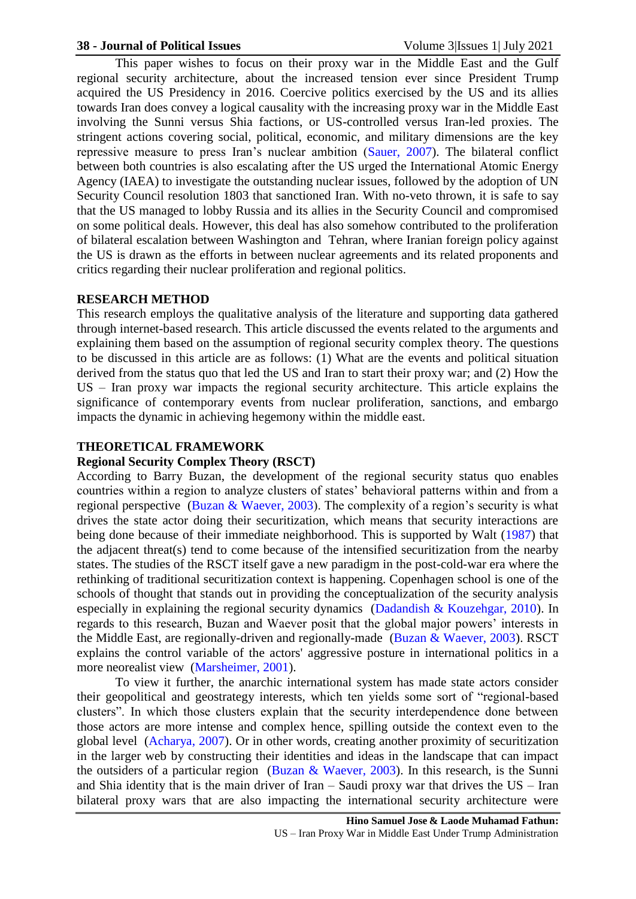#### **38 - Journal of Political Issues** Volume 3|Issues 1| July 2021

This paper wishes to focus on their proxy war in the Middle East and the Gulf regional security architecture, about the increased tension ever since President Trump acquired the US Presidency in 2016. Coercive politics exercised by the US and its allies towards Iran does convey a logical causality with the increasing proxy war in the Middle East involving the Sunni versus Shia factions, or US-controlled versus Iran-led proxies. The stringent actions covering social, political, economic, and military dimensions are the key repressive measure to press Iran's nuclear ambition [\(Sauer, 2007\)](#page-11-5). The bilateral conflict between both countries is also escalating after the US urged the International Atomic Energy Agency (IAEA) to investigate the outstanding nuclear issues, followed by the adoption of UN Security Council resolution 1803 that sanctioned Iran. With no-veto thrown, it is safe to say that the US managed to lobby Russia and its allies in the Security Council and compromised on some political deals. However, this deal has also somehow contributed to the proliferation of bilateral escalation between Washington and Tehran, where Iranian foreign policy against the US is drawn as the efforts in between nuclear agreements and its related proponents and critics regarding their nuclear proliferation and regional politics.

#### **RESEARCH METHOD**

This research employs the qualitative analysis of the literature and supporting data gathered through internet-based research. This article discussed the events related to the arguments and explaining them based on the assumption of regional security complex theory. The questions to be discussed in this article are as follows: (1) What are the events and political situation derived from the status quo that led the US and Iran to start their proxy war; and (2) How the US – Iran proxy war impacts the regional security architecture. This article explains the significance of contemporary events from nuclear proliferation, sanctions, and embargo impacts the dynamic in achieving hegemony within the middle east.

## **THEORETICAL FRAMEWORK**

## **Regional Security Complex Theory (RSCT)**

According to Barry Buzan, the development of the regional security status quo enables countries within a region to analyze clusters of states' behavioral patterns within and from a regional perspective [\(Buzan & Waever, 2003\)](#page-10-4). The complexity of a region's security is what drives the state actor doing their securitization, which means that security interactions are being done because of their immediate neighborhood. This is supported by Walt [\(1987\)](#page-12-1) that the adjacent threat(s) tend to come because of the intensified securitization from the nearby states. The studies of the RSCT itself gave a new paradigm in the post-cold-war era where the rethinking of traditional securitization context is happening. Copenhagen school is one of the schools of thought that stands out in providing the conceptualization of the security analysis especially in explaining the regional security dynamics [\(Dadandish & Kouzehgar, 2010\)](#page-10-5). In regards to this research, Buzan and Waever posit that the global major powers' interests in the Middle East, are regionally-driven and regionally-made [\(Buzan & Waever, 2003\)](#page-10-4). RSCT explains the control variable of the actors' aggressive posture in international politics in a more neorealist view [\(Marsheimer, 2001\)](#page-10-6).

To view it further, the anarchic international system has made state actors consider their geopolitical and geostrategy interests, which ten yields some sort of "regional-based clusters". In which those clusters explain that the security interdependence done between those actors are more intense and complex hence, spilling outside the context even to the global level [\(Acharya, 2007\)](#page-9-1). Or in other words, creating another proximity of securitization in the larger web by constructing their identities and ideas in the landscape that can impact the outsiders of a particular region [\(Buzan & Waever, 2003\)](#page-10-4). In this research, is the Sunni and Shia identity that is the main driver of Iran – Saudi proxy war that drives the  $US$  – Iran bilateral proxy wars that are also impacting the international security architecture were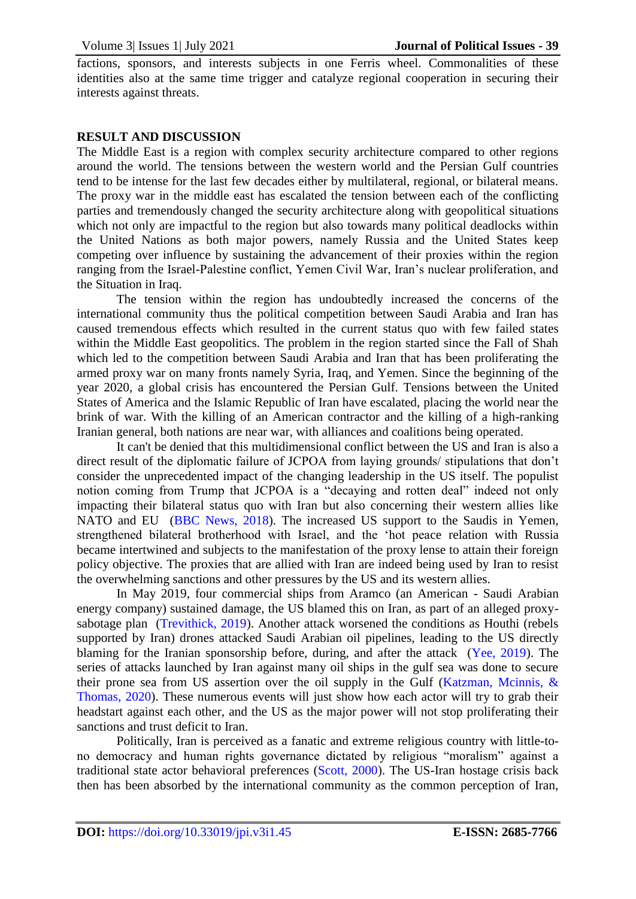factions, sponsors, and interests subjects in one Ferris wheel. Commonalities of these identities also at the same time trigger and catalyze regional cooperation in securing their interests against threats.

# **RESULT AND DISCUSSION**

The Middle East is a region with complex security architecture compared to other regions around the world. The tensions between the western world and the Persian Gulf countries tend to be intense for the last few decades either by multilateral, regional, or bilateral means. The proxy war in the middle east has escalated the tension between each of the conflicting parties and tremendously changed the security architecture along with geopolitical situations which not only are impactful to the region but also towards many political deadlocks within the United Nations as both major powers, namely Russia and the United States keep competing over influence by sustaining the advancement of their proxies within the region ranging from the Israel-Palestine conflict, Yemen Civil War, Iran's nuclear proliferation, and the Situation in Iraq.

The tension within the region has undoubtedly increased the concerns of the international community thus the political competition between Saudi Arabia and Iran has caused tremendous effects which resulted in the current status quo with few failed states within the Middle East geopolitics. The problem in the region started since the Fall of Shah which led to the competition between Saudi Arabia and Iran that has been proliferating the armed proxy war on many fronts namely Syria, Iraq, and Yemen. Since the beginning of the year 2020, a global crisis has encountered the Persian Gulf. Tensions between the United States of America and the Islamic Republic of Iran have escalated, placing the world near the brink of war. With the killing of an American contractor and the killing of a high-ranking Iranian general, both nations are near war, with alliances and coalitions being operated.

It can't be denied that this multidimensional conflict between the US and Iran is also a direct result of the diplomatic failure of JCPOA from laying grounds/ stipulations that don't consider the unprecedented impact of the changing leadership in the US itself. The populist notion coming from Trump that JCPOA is a "decaying and rotten deal" indeed not only impacting their bilateral status quo with Iran but also concerning their western allies like NATO and EU [\(BBC News, 2018\)](#page-9-2). The increased US support to the Saudis in Yemen, strengthened bilateral brotherhood with Israel, and the 'hot peace relation with Russia became intertwined and subjects to the manifestation of the proxy lense to attain their foreign policy objective. The proxies that are allied with Iran are indeed being used by Iran to resist the overwhelming sanctions and other pressures by the US and its western allies.

In May 2019, four commercial ships from Aramco (an American - Saudi Arabian energy company) sustained damage, the US blamed this on Iran, as part of an alleged proxysabotage plan [\(Trevithick, 2019\)](#page-12-2). Another attack worsened the conditions as Houthi (rebels supported by Iran) drones attacked Saudi Arabian oil pipelines, leading to the US directly blaming for the Iranian sponsorship before, during, and after the attack [\(Yee, 2019\)](#page-12-3). The series of attacks launched by Iran against many oil ships in the gulf sea was done to secure their prone sea from US assertion over the oil supply in the Gulf (Katzman, Mcinnis,  $\&$ [Thomas, 2020\)](#page-10-7). These numerous events will just show how each actor will try to grab their headstart against each other, and the US as the major power will not stop proliferating their sanctions and trust deficit to Iran.

Politically, Iran is perceived as a fanatic and extreme religious country with little-tono democracy and human rights governance dictated by religious "moralism" against a traditional state actor behavioral preferences [\(Scott, 2000\)](#page-12-4). The US-Iran hostage crisis back then has been absorbed by the international community as the common perception of Iran,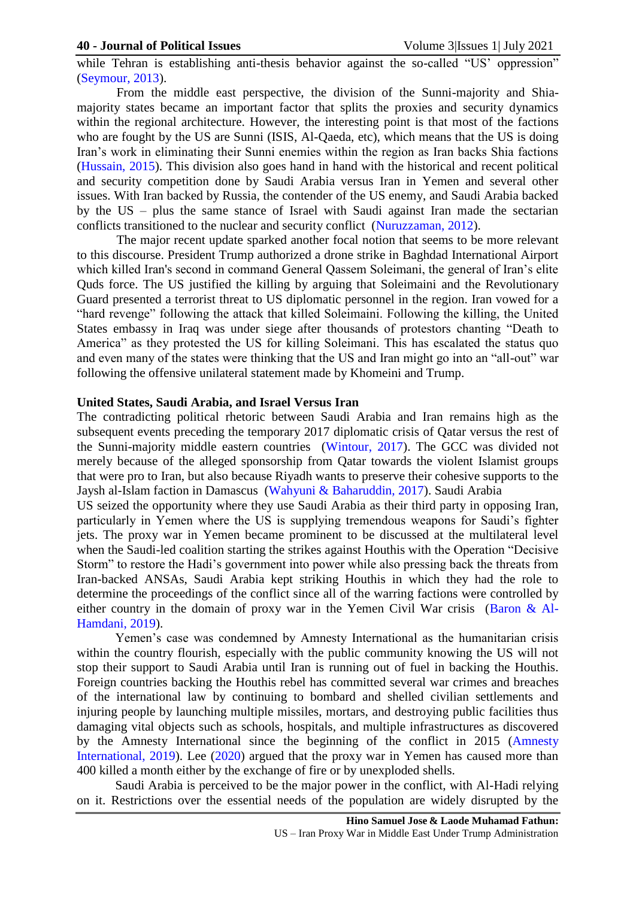while Tehran is establishing anti-thesis behavior against the so-called "US' oppression" [\(Seymour, 2013\)](#page-12-5).

From the middle east perspective, the division of the Sunni-majority and Shiamajority states became an important factor that splits the proxies and security dynamics within the regional architecture. However, the interesting point is that most of the factions who are fought by the US are Sunni (ISIS, Al-Qaeda, etc), which means that the US is doing Iran's work in eliminating their Sunni enemies within the region as Iran backs Shia factions [\(Hussain, 2015\)](#page-10-8). This division also goes hand in hand with the historical and recent political and security competition done by Saudi Arabia versus Iran in Yemen and several other issues. With Iran backed by Russia, the contender of the US enemy, and Saudi Arabia backed by the US – plus the same stance of Israel with Saudi against Iran made the sectarian conflicts transitioned to the nuclear and security conflict [\(Nuruzzaman, 2012\)](#page-11-6).

The major recent update sparked another focal notion that seems to be more relevant to this discourse. President Trump authorized a drone strike in Baghdad International Airport which killed Iran's second in command General Qassem Soleimani, the general of Iran's elite Quds force. The US justified the killing by arguing that Soleimaini and the Revolutionary Guard presented a terrorist threat to US diplomatic personnel in the region. Iran vowed for a "hard revenge" following the attack that killed Soleimaini. Following the killing, the United States embassy in Iraq was under siege after thousands of protestors chanting "Death to America" as they protested the US for killing Soleimani. This has escalated the status quo and even many of the states were thinking that the US and Iran might go into an "all-out" war following the offensive unilateral statement made by Khomeini and Trump.

## **United States, Saudi Arabia, and Israel Versus Iran**

The contradicting political rhetoric between Saudi Arabia and Iran remains high as the subsequent events preceding the temporary 2017 diplomatic crisis of Qatar versus the rest of the Sunni-majority middle eastern countries [\(Wintour, 2017\)](#page-12-6). The GCC was divided not merely because of the alleged sponsorship from Qatar towards the violent Islamist groups that were pro to Iran, but also because Riyadh wants to preserve their cohesive supports to the Jaysh al-Islam faction in Damascus [\(Wahyuni & Baharuddin, 2017\)](#page-12-7). Saudi Arabia

US seized the opportunity where they use Saudi Arabia as their third party in opposing Iran, particularly in Yemen where the US is supplying tremendous weapons for Saudi's fighter jets. The proxy war in Yemen became prominent to be discussed at the multilateral level when the Saudi-led coalition starting the strikes against Houthis with the Operation "Decisive Storm" to restore the Hadi's government into power while also pressing back the threats from Iran-backed ANSAs, Saudi Arabia kept striking Houthis in which they had the role to determine the proceedings of the conflict since all of the warring factions were controlled by either country in the domain of proxy war in the Yemen Civil War crisis [\(Baron & Al-](#page-9-3)[Hamdani, 2019\)](#page-9-3).

Yemen's case was condemned by Amnesty International as the humanitarian crisis within the country flourish, especially with the public community knowing the US will not stop their support to Saudi Arabia until Iran is running out of fuel in backing the Houthis. Foreign countries backing the Houthis rebel has committed several war crimes and breaches of the international law by continuing to bombard and shelled civilian settlements and injuring people by launching multiple missiles, mortars, and destroying public facilities thus damaging vital objects such as schools, hospitals, and multiple infrastructures as discovered by the Amnesty International since the beginning of the conflict in 2015 [\(Amnesty](#page-9-4)  [International, 2019\)](#page-9-4). Lee [\(2020\)](#page-10-9) argued that the proxy war in Yemen has caused more than 400 killed a month either by the exchange of fire or by unexploded shells.

Saudi Arabia is perceived to be the major power in the conflict, with Al-Hadi relying on it. Restrictions over the essential needs of the population are widely disrupted by the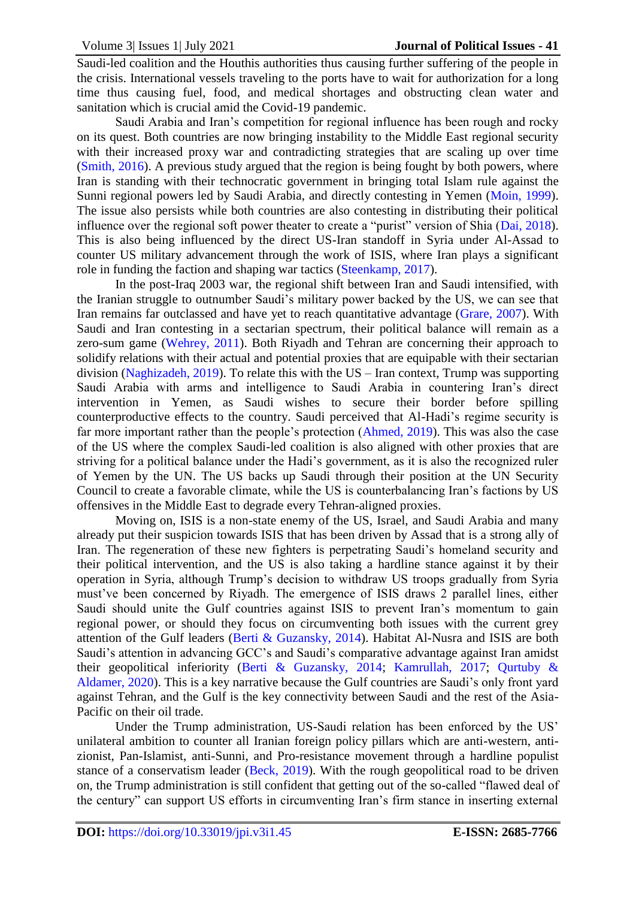Saudi-led coalition and the Houthis authorities thus causing further suffering of the people in the crisis. International vessels traveling to the ports have to wait for authorization for a long time thus causing fuel, food, and medical shortages and obstructing clean water and sanitation which is crucial amid the Covid-19 pandemic.

Saudi Arabia and Iran's competition for regional influence has been rough and rocky on its quest. Both countries are now bringing instability to the Middle East regional security with their increased proxy war and contradicting strategies that are scaling up over time [\(Smith, 2016\)](#page-12-8). A previous study argued that the region is being fought by both powers, where Iran is standing with their technocratic government in bringing total Islam rule against the Sunni regional powers led by Saudi Arabia, and directly contesting in Yemen [\(Moin, 1999\)](#page-11-7). The issue also persists while both countries are also contesting in distributing their political influence over the regional soft power theater to create a "purist" version of Shia [\(Dai, 2018\)](#page-10-10). This is also being influenced by the direct US-Iran standoff in Syria under Al-Assad to counter US military advancement through the work of ISIS, where Iran plays a significant role in funding the faction and shaping war tactics [\(Steenkamp, 2017\)](#page-12-9).

In the post-Iraq 2003 war, the regional shift between Iran and Saudi intensified, with the Iranian struggle to outnumber Saudi's military power backed by the US, we can see that Iran remains far outclassed and have yet to reach quantitative advantage [\(Grare, 2007\)](#page-10-11). With Saudi and Iran contesting in a sectarian spectrum, their political balance will remain as a zero-sum game [\(Wehrey, 2011\)](#page-12-10). Both Riyadh and Tehran are concerning their approach to solidify relations with their actual and potential proxies that are equipable with their sectarian division [\(Naghizadeh, 2019\)](#page-11-8). To relate this with the US – Iran context, Trump was supporting Saudi Arabia with arms and intelligence to Saudi Arabia in countering Iran's direct intervention in Yemen, as Saudi wishes to secure their border before spilling counterproductive effects to the country. Saudi perceived that Al-Hadi's regime security is far more important rather than the people's protection [\(Ahmed, 2019\)](#page-9-5). This was also the case of the US where the complex Saudi-led coalition is also aligned with other proxies that are striving for a political balance under the Hadi's government, as it is also the recognized ruler of Yemen by the UN. The US backs up Saudi through their position at the UN Security Council to create a favorable climate, while the US is counterbalancing Iran's factions by US offensives in the Middle East to degrade every Tehran-aligned proxies.

Moving on, ISIS is a non-state enemy of the US, Israel, and Saudi Arabia and many already put their suspicion towards ISIS that has been driven by Assad that is a strong ally of Iran. The regeneration of these new fighters is perpetrating Saudi's homeland security and their political intervention, and the US is also taking a hardline stance against it by their operation in Syria, although Trump's decision to withdraw US troops gradually from Syria must've been concerned by Riyadh. The emergence of ISIS draws 2 parallel lines, either Saudi should unite the Gulf countries against ISIS to prevent Iran's momentum to gain regional power, or should they focus on circumventing both issues with the current grey attention of the Gulf leaders [\(Berti & Guzansky, 2014\)](#page-9-6). Habitat Al-Nusra and ISIS are both Saudi's attention in advancing GCC's and Saudi's comparative advantage against Iran amidst their geopolitical inferiority [\(Berti & Guzansky, 2014;](#page-9-6) [Kamrullah, 2017;](#page-10-12) [Qurtuby &](#page-11-9)  [Aldamer, 2020\)](#page-11-9). This is a key narrative because the Gulf countries are Saudi's only front yard against Tehran, and the Gulf is the key connectivity between Saudi and the rest of the Asia-Pacific on their oil trade.

Under the Trump administration, US-Saudi relation has been enforced by the US' unilateral ambition to counter all Iranian foreign policy pillars which are anti-western, antizionist, Pan-Islamist, anti-Sunni, and Pro-resistance movement through a hardline populist stance of a conservatism leader [\(Beck, 2019\)](#page-9-7). With the rough geopolitical road to be driven on, the Trump administration is still confident that getting out of the so-called "flawed deal of the century" can support US efforts in circumventing Iran's firm stance in inserting external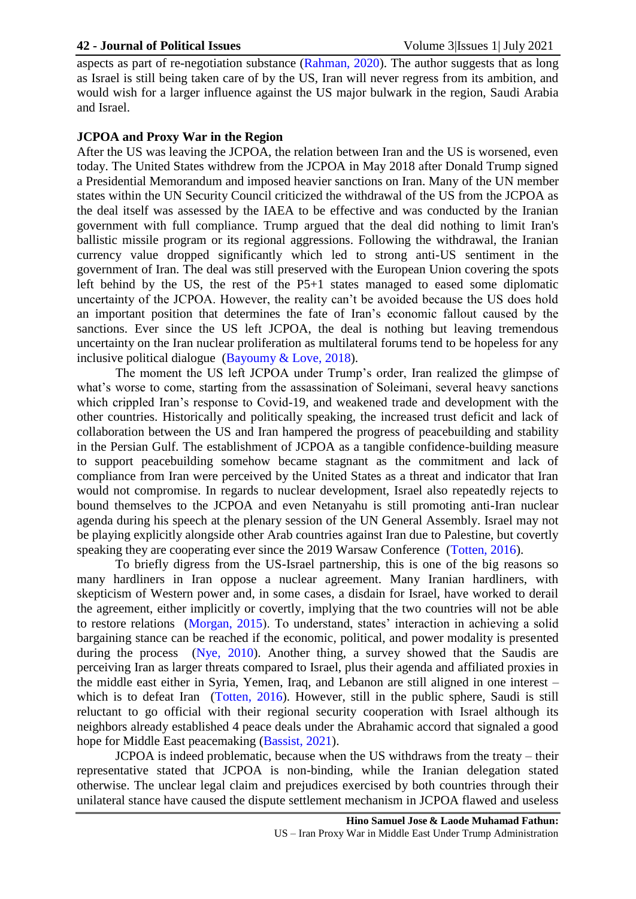aspects as part of re-negotiation substance [\(Rahman, 2020\)](#page-11-10). The author suggests that as long as Israel is still being taken care of by the US, Iran will never regress from its ambition, and would wish for a larger influence against the US major bulwark in the region, Saudi Arabia and Israel.

# **JCPOA and Proxy War in the Region**

After the US was leaving the JCPOA, the relation between Iran and the US is worsened, even today. The United States withdrew from the JCPOA in May 2018 after Donald Trump signed a Presidential Memorandum and imposed heavier sanctions on Iran. Many of the UN member states within the UN Security Council criticized the withdrawal of the US from the JCPOA as the deal itself was assessed by the IAEA to be effective and was conducted by the Iranian government with full compliance. Trump argued that the deal did nothing to limit Iran's ballistic missile program or its regional aggressions. Following the withdrawal, the Iranian currency value dropped significantly which led to strong anti-US sentiment in the government of Iran. The deal was still preserved with the European Union covering the spots left behind by the US, the rest of the P5+1 states managed to eased some diplomatic uncertainty of the JCPOA. However, the reality can't be avoided because the US does hold an important position that determines the fate of Iran's economic fallout caused by the sanctions. Ever since the US left JCPOA, the deal is nothing but leaving tremendous uncertainty on the Iran nuclear proliferation as multilateral forums tend to be hopeless for any inclusive political dialogue [\(Bayoumy & Love, 2018\)](#page-9-8).

The moment the US left JCPOA under Trump's order, Iran realized the glimpse of what's worse to come, starting from the assassination of Soleimani, several heavy sanctions which crippled Iran's response to Covid-19, and weakened trade and development with the other countries. Historically and politically speaking, the increased trust deficit and lack of collaboration between the US and Iran hampered the progress of peacebuilding and stability in the Persian Gulf. The establishment of JCPOA as a tangible confidence-building measure to support peacebuilding somehow became stagnant as the commitment and lack of compliance from Iran were perceived by the United States as a threat and indicator that Iran would not compromise. In regards to nuclear development, Israel also repeatedly rejects to bound themselves to the JCPOA and even Netanyahu is still promoting anti-Iran nuclear agenda during his speech at the plenary session of the UN General Assembly. Israel may not be playing explicitly alongside other Arab countries against Iran due to Palestine, but covertly speaking they are cooperating ever since the 2019 Warsaw Conference [\(Totten, 2016\)](#page-12-11).

To briefly digress from the US-Israel partnership, this is one of the big reasons so many hardliners in Iran oppose a nuclear agreement. Many Iranian hardliners, with skepticism of Western power and, in some cases, a disdain for Israel, have worked to derail the agreement, either implicitly or covertly, implying that the two countries will not be able to restore relations [\(Morgan, 2015\)](#page-11-11). To understand, states' interaction in achieving a solid bargaining stance can be reached if the economic, political, and power modality is presented during the process [\(Nye, 2010\)](#page-11-12). Another thing, a survey showed that the Saudis are perceiving Iran as larger threats compared to Israel, plus their agenda and affiliated proxies in the middle east either in Syria, Yemen, Iraq, and Lebanon are still aligned in one interest – which is to defeat Iran [\(Totten, 2016\)](#page-12-11). However, still in the public sphere, Saudi is still reluctant to go official with their regional security cooperation with Israel although its neighbors already established 4 peace deals under the Abrahamic accord that signaled a good hope for Middle East peacemaking [\(Bassist, 2021\)](#page-9-9).

JCPOA is indeed problematic, because when the US withdraws from the treaty – their representative stated that JCPOA is non-binding, while the Iranian delegation stated otherwise. The unclear legal claim and prejudices exercised by both countries through their unilateral stance have caused the dispute settlement mechanism in JCPOA flawed and useless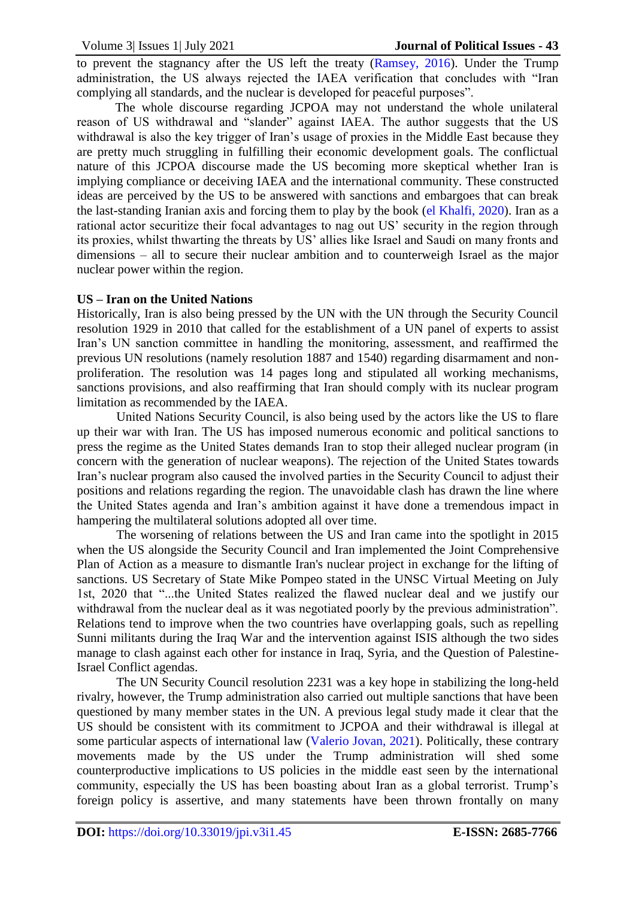to prevent the stagnancy after the US left the treaty [\(Ramsey, 2016\)](#page-11-13). Under the Trump administration, the US always rejected the IAEA verification that concludes with "Iran complying all standards, and the nuclear is developed for peaceful purposes".

The whole discourse regarding JCPOA may not understand the whole unilateral reason of US withdrawal and "slander" against IAEA. The author suggests that the US withdrawal is also the key trigger of Iran's usage of proxies in the Middle East because they are pretty much struggling in fulfilling their economic development goals. The conflictual nature of this JCPOA discourse made the US becoming more skeptical whether Iran is implying compliance or deceiving IAEA and the international community. These constructed ideas are perceived by the US to be answered with sanctions and embargoes that can break the last-standing Iranian axis and forcing them to play by the book [\(el Khalfi, 2020\)](#page-10-13). Iran as a rational actor securitize their focal advantages to nag out US' security in the region through its proxies, whilst thwarting the threats by US' allies like Israel and Saudi on many fronts and dimensions – all to secure their nuclear ambition and to counterweigh Israel as the major nuclear power within the region.

## **US – Iran on the United Nations**

Historically, Iran is also being pressed by the UN with the UN through the Security Council resolution 1929 in 2010 that called for the establishment of a UN panel of experts to assist Iran's UN sanction committee in handling the monitoring, assessment, and reaffirmed the previous UN resolutions (namely resolution 1887 and 1540) regarding disarmament and nonproliferation. The resolution was 14 pages long and stipulated all working mechanisms, sanctions provisions, and also reaffirming that Iran should comply with its nuclear program limitation as recommended by the IAEA.

United Nations Security Council, is also being used by the actors like the US to flare up their war with Iran. The US has imposed numerous economic and political sanctions to press the regime as the United States demands Iran to stop their alleged nuclear program (in concern with the generation of nuclear weapons). The rejection of the United States towards Iran's nuclear program also caused the involved parties in the Security Council to adjust their positions and relations regarding the region. The unavoidable clash has drawn the line where the United States agenda and Iran's ambition against it have done a tremendous impact in hampering the multilateral solutions adopted all over time.

The worsening of relations between the US and Iran came into the spotlight in 2015 when the US alongside the Security Council and Iran implemented the Joint Comprehensive Plan of Action as a measure to dismantle Iran's nuclear project in exchange for the lifting of sanctions. US Secretary of State Mike Pompeo stated in the UNSC Virtual Meeting on July 1st, 2020 that "...the United States realized the flawed nuclear deal and we justify our withdrawal from the nuclear deal as it was negotiated poorly by the previous administration". Relations tend to improve when the two countries have overlapping goals, such as repelling Sunni militants during the Iraq War and the intervention against ISIS although the two sides manage to clash against each other for instance in Iraq, Syria, and the Question of Palestine-Israel Conflict agendas.

The UN Security Council resolution 2231 was a key hope in stabilizing the long-held rivalry, however, the Trump administration also carried out multiple sanctions that have been questioned by many member states in the UN. A previous legal study made it clear that the US should be consistent with its commitment to JCPOA and their withdrawal is illegal at some particular aspects of international law [\(Valerio Jovan, 2021\)](#page-12-12). Politically, these contrary movements made by the US under the Trump administration will shed some counterproductive implications to US policies in the middle east seen by the international community, especially the US has been boasting about Iran as a global terrorist. Trump's foreign policy is assertive, and many statements have been thrown frontally on many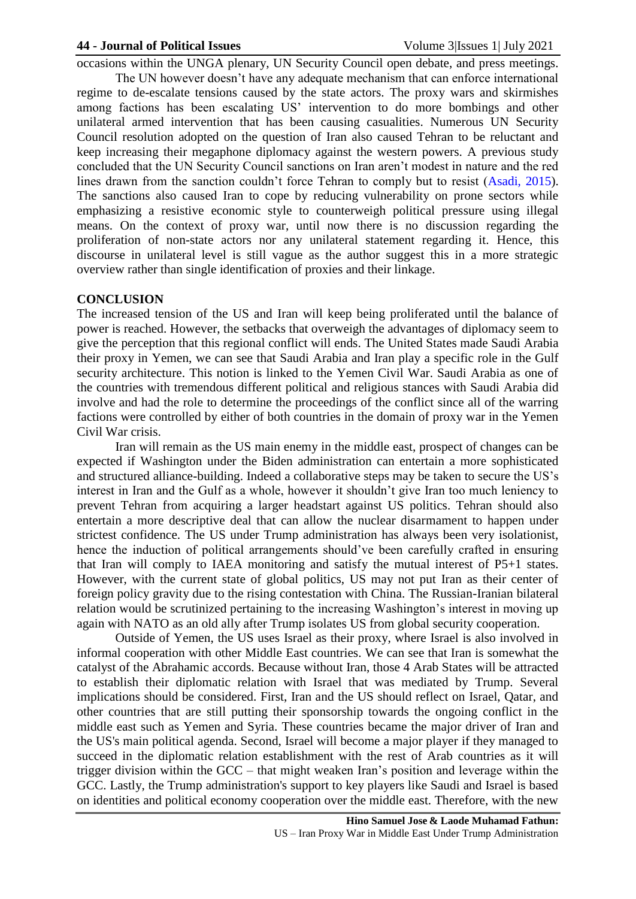occasions within the UNGA plenary, UN Security Council open debate, and press meetings.

The UN however doesn't have any adequate mechanism that can enforce international regime to de-escalate tensions caused by the state actors. The proxy wars and skirmishes among factions has been escalating US' intervention to do more bombings and other unilateral armed intervention that has been causing casualities. Numerous UN Security Council resolution adopted on the question of Iran also caused Tehran to be reluctant and keep increasing their megaphone diplomacy against the western powers. A previous study concluded that the UN Security Council sanctions on Iran aren't modest in nature and the red lines drawn from the sanction couldn't force Tehran to comply but to resist [\(Asadi, 2015\)](#page-9-10). The sanctions also caused Iran to cope by reducing vulnerability on prone sectors while emphasizing a resistive economic style to counterweigh political pressure using illegal means. On the context of proxy war, until now there is no discussion regarding the proliferation of non-state actors nor any unilateral statement regarding it. Hence, this discourse in unilateral level is still vague as the author suggest this in a more strategic overview rather than single identification of proxies and their linkage.

## **CONCLUSION**

The increased tension of the US and Iran will keep being proliferated until the balance of power is reached. However, the setbacks that overweigh the advantages of diplomacy seem to give the perception that this regional conflict will ends. The United States made Saudi Arabia their proxy in Yemen, we can see that Saudi Arabia and Iran play a specific role in the Gulf security architecture. This notion is linked to the Yemen Civil War. Saudi Arabia as one of the countries with tremendous different political and religious stances with Saudi Arabia did involve and had the role to determine the proceedings of the conflict since all of the warring factions were controlled by either of both countries in the domain of proxy war in the Yemen Civil War crisis.

Iran will remain as the US main enemy in the middle east, prospect of changes can be expected if Washington under the Biden administration can entertain a more sophisticated and structured alliance-building. Indeed a collaborative steps may be taken to secure the US's interest in Iran and the Gulf as a whole, however it shouldn't give Iran too much leniency to prevent Tehran from acquiring a larger headstart against US politics. Tehran should also entertain a more descriptive deal that can allow the nuclear disarmament to happen under strictest confidence. The US under Trump administration has always been very isolationist, hence the induction of political arrangements should've been carefully crafted in ensuring that Iran will comply to IAEA monitoring and satisfy the mutual interest of P5+1 states. However, with the current state of global politics, US may not put Iran as their center of foreign policy gravity due to the rising contestation with China. The Russian-Iranian bilateral relation would be scrutinized pertaining to the increasing Washington's interest in moving up again with NATO as an old ally after Trump isolates US from global security cooperation.

Outside of Yemen, the US uses Israel as their proxy, where Israel is also involved in informal cooperation with other Middle East countries. We can see that Iran is somewhat the catalyst of the Abrahamic accords. Because without Iran, those 4 Arab States will be attracted to establish their diplomatic relation with Israel that was mediated by Trump. Several implications should be considered. First, Iran and the US should reflect on Israel, Qatar, and other countries that are still putting their sponsorship towards the ongoing conflict in the middle east such as Yemen and Syria. These countries became the major driver of Iran and the US's main political agenda. Second, Israel will become a major player if they managed to succeed in the diplomatic relation establishment with the rest of Arab countries as it will trigger division within the GCC – that might weaken Iran's position and leverage within the GCC. Lastly, the Trump administration's support to key players like Saudi and Israel is based on identities and political economy cooperation over the middle east. Therefore, with the new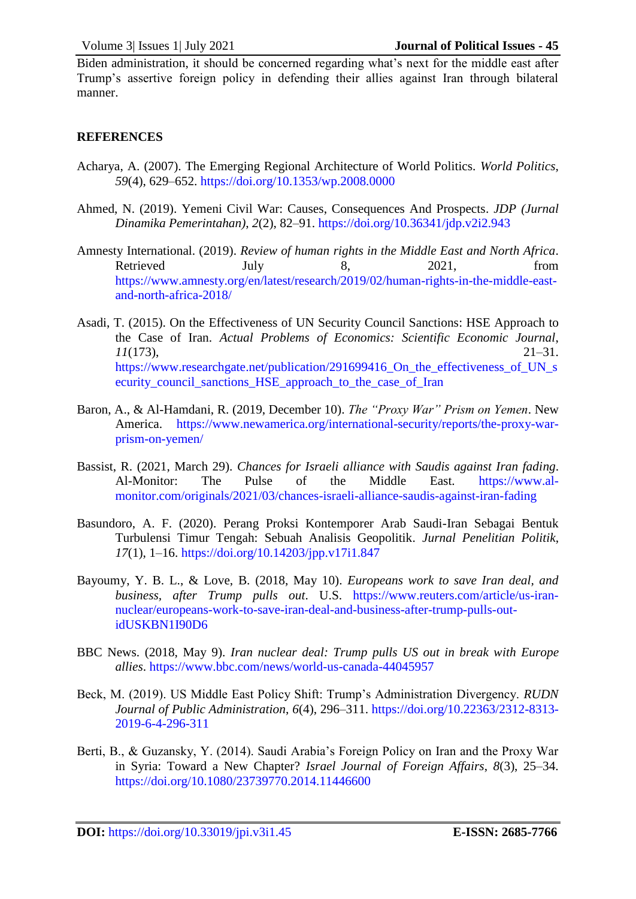Biden administration, it should be concerned regarding what's next for the middle east after Trump's assertive foreign policy in defending their allies against Iran through bilateral manner.

# **REFERENCES**

- <span id="page-9-1"></span>Acharya, A. (2007). The Emerging Regional Architecture of World Politics. *World Politics*, *59*(4), 629–652.<https://doi.org/10.1353/wp.2008.0000>
- <span id="page-9-5"></span>Ahmed, N. (2019). Yemeni Civil War: Causes, Consequences And Prospects. *JDP (Jurnal Dinamika Pemerintahan)*, *2*(2), 82–91.<https://doi.org/10.36341/jdp.v2i2.943>
- <span id="page-9-4"></span>Amnesty International. (2019). *Review of human rights in the Middle East and North Africa*. Retrieved July 8, 2021, from [https://www.amnesty.org/en/latest/research/2019/02/human-rights-in-the-middle-east](https://www.amnesty.org/en/latest/research/2019/02/human-rights-in-the-middle-east-and-north-africa-2018/)[and-north-africa-2018/](https://www.amnesty.org/en/latest/research/2019/02/human-rights-in-the-middle-east-and-north-africa-2018/)
- <span id="page-9-10"></span>Asadi, T. (2015). On the Effectiveness of UN Security Council Sanctions: HSE Approach to the Case of Iran. *Actual Problems of Economics: Scientific Economic Journal*, *11*(173), 21–31. [https://www.researchgate.net/publication/291699416\\_On\\_the\\_effectiveness\\_of\\_UN\\_s](https://www.researchgate.net/publication/291699416_On_the_effectiveness_of_UN_security_council_sanctions_HSE_approach_to_the_case_of_Iran) ecurity council sanctions HSE approach to the case of Iran
- <span id="page-9-3"></span>Baron, A., & Al-Hamdani, R. (2019, December 10). *The "Proxy War" Prism on Yemen*. New America. [https://www.newamerica.org/international-security/reports/the-proxy-war](https://www.newamerica.org/international-security/reports/the-proxy-war-prism-on-yemen/)[prism-on-yemen/](https://www.newamerica.org/international-security/reports/the-proxy-war-prism-on-yemen/)
- <span id="page-9-9"></span>Bassist, R. (2021, March 29). *Chances for Israeli alliance with Saudis against Iran fading*. Al-Monitor: The Pulse of the Middle East. [https://www.al](https://www.al-monitor.com/originals/2021/03/chances-israeli-alliance-saudis-against-iran-fading)[monitor.com/originals/2021/03/chances-israeli-alliance-saudis-against-iran-fading](https://www.al-monitor.com/originals/2021/03/chances-israeli-alliance-saudis-against-iran-fading)
- <span id="page-9-0"></span>Basundoro, A. F. (2020). Perang Proksi Kontemporer Arab Saudi-Iran Sebagai Bentuk Turbulensi Timur Tengah: Sebuah Analisis Geopolitik. *Jurnal Penelitian Politik*, *17*(1), 1–16.<https://doi.org/10.14203/jpp.v17i1.847>
- <span id="page-9-8"></span>Bayoumy, Y. B. L., & Love, B. (2018, May 10). *Europeans work to save Iran deal, and business, after Trump pulls out*. U.S. [https://www.reuters.com/article/us-iran](https://www.reuters.com/article/us-iran-nuclear/europeans-work-to-save-iran-deal-and-business-after-trump-pulls-out-idUSKBN1I90D6)[nuclear/europeans-work-to-save-iran-deal-and-business-after-trump-pulls-out](https://www.reuters.com/article/us-iran-nuclear/europeans-work-to-save-iran-deal-and-business-after-trump-pulls-out-idUSKBN1I90D6)[idUSKBN1I90D6](https://www.reuters.com/article/us-iran-nuclear/europeans-work-to-save-iran-deal-and-business-after-trump-pulls-out-idUSKBN1I90D6)
- <span id="page-9-2"></span>BBC News. (2018, May 9). *Iran nuclear deal: Trump pulls US out in break with Europe allies*.<https://www.bbc.com/news/world-us-canada-44045957>
- <span id="page-9-7"></span>Beck, M. (2019). US Middle East Policy Shift: Trump's Administration Divergency. *RUDN Journal of Public Administration*, *6*(4), 296–311. [https://doi.org/10.22363/2312-8313-](https://doi.org/10.22363/2312-8313-2019-6-4-296-311) [2019-6-4-296-311](https://doi.org/10.22363/2312-8313-2019-6-4-296-311)
- <span id="page-9-6"></span>Berti, B., & Guzansky, Y. (2014). Saudi Arabia's Foreign Policy on Iran and the Proxy War in Syria: Toward a New Chapter? *Israel Journal of Foreign Affairs*, *8*(3), 25–34. <https://doi.org/10.1080/23739770.2014.11446600>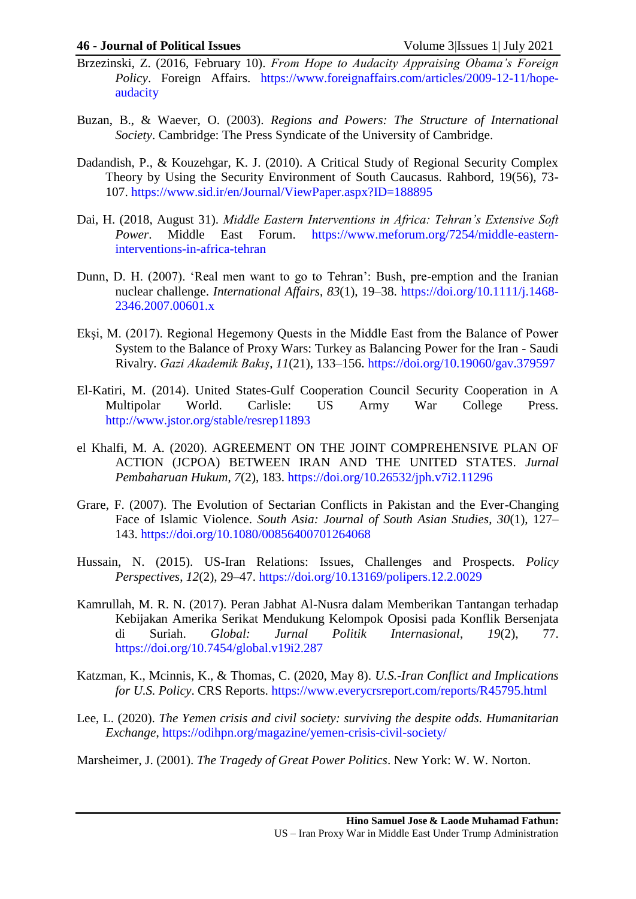- <span id="page-10-1"></span>Brzezinski, Z. (2016, February 10). *From Hope to Audacity Appraising Obama's Foreign Policy*. Foreign Affairs. [https://www.foreignaffairs.com/articles/2009-12-11/hope](https://www.foreignaffairs.com/articles/2009-12-11/hope-audacity)[audacity](https://www.foreignaffairs.com/articles/2009-12-11/hope-audacity)
- <span id="page-10-4"></span>Buzan, B., & Waever, O. (2003). *Regions and Powers: The Structure of International Society*. Cambridge: The Press Syndicate of the University of Cambridge.
- <span id="page-10-5"></span>Dadandish, P., & Kouzehgar, K. J. (2010). A Critical Study of Regional Security Complex Theory by Using the Security Environment of South Caucasus. Rahbord, 19(56), 73- 107. <https://www.sid.ir/en/Journal/ViewPaper.aspx?ID=188895>
- <span id="page-10-10"></span>Dai, H. (2018, August 31). *Middle Eastern Interventions in Africa: Tehran's Extensive Soft Power*. Middle East Forum. [https://www.meforum.org/7254/middle-eastern](https://www.meforum.org/7254/middle-eastern-interventions-in-africa-tehran)[interventions-in-africa-tehran](https://www.meforum.org/7254/middle-eastern-interventions-in-africa-tehran)
- <span id="page-10-0"></span>Dunn, D. H. (2007). 'Real men want to go to Tehran': Bush, pre-emption and the Iranian nuclear challenge. *International Affairs*, *83*(1), 19–38. [https://doi.org/10.1111/j.1468-](https://doi.org/10.1111/j.1468-2346.2007.00601.x) [2346.2007.00601.x](https://doi.org/10.1111/j.1468-2346.2007.00601.x)
- <span id="page-10-3"></span>Ekşi, M. (2017). Regional Hegemony Quests in the Middle East from the Balance of Power System to the Balance of Proxy Wars: Turkey as Balancing Power for the Iran - Saudi Rivalry. *Gazi Akademik Bakış*, *11*(21), 133–156.<https://doi.org/10.19060/gav.379597>
- <span id="page-10-2"></span>El-Katiri, M. (2014). United States-Gulf Cooperation Council Security Cooperation in A Multipolar World. Carlisle: US Army War College Press. <http://www.jstor.org/stable/resrep11893>
- <span id="page-10-13"></span>el Khalfi, M. A. (2020). AGREEMENT ON THE JOINT COMPREHENSIVE PLAN OF ACTION (JCPOA) BETWEEN IRAN AND THE UNITED STATES. *Jurnal Pembaharuan Hukum*, *7*(2), 183.<https://doi.org/10.26532/jph.v7i2.11296>
- <span id="page-10-11"></span>Grare, F. (2007). The Evolution of Sectarian Conflicts in Pakistan and the Ever-Changing Face of Islamic Violence. *South Asia: Journal of South Asian Studies*, *30*(1), 127– 143.<https://doi.org/10.1080/00856400701264068>
- <span id="page-10-8"></span>Hussain, N. (2015). US-Iran Relations: Issues, Challenges and Prospects. *Policy Perspectives*, *12*(2), 29–47.<https://doi.org/10.13169/polipers.12.2.0029>
- <span id="page-10-12"></span>Kamrullah, M. R. N. (2017). Peran Jabhat Al-Nusra dalam Memberikan Tantangan terhadap Kebijakan Amerika Serikat Mendukung Kelompok Oposisi pada Konflik Bersenjata di Suriah. *Global: Jurnal Politik Internasional*, *19*(2), 77. <https://doi.org/10.7454/global.v19i2.287>
- <span id="page-10-7"></span>Katzman, K., Mcinnis, K., & Thomas, C. (2020, May 8). *U.S.-Iran Conflict and Implications for U.S. Policy*. CRS Reports.<https://www.everycrsreport.com/reports/R45795.html>
- <span id="page-10-9"></span>Lee, L. (2020). *The Yemen crisis and civil society: surviving the despite odds. Humanitarian Exchange*,<https://odihpn.org/magazine/yemen-crisis-civil-society/>
- <span id="page-10-6"></span>Marsheimer, J. (2001). *The Tragedy of Great Power Politics*. New York: W. W. Norton.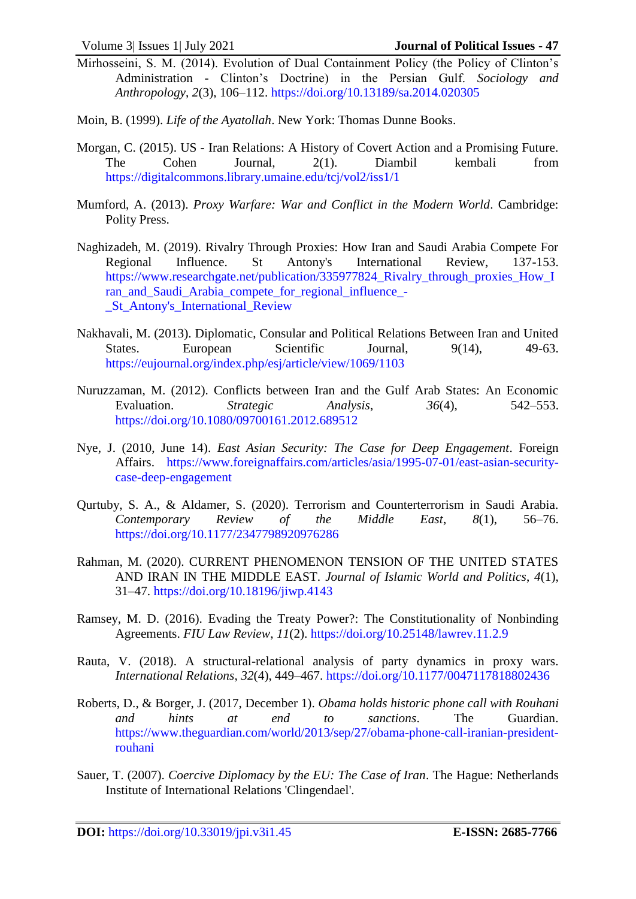- <span id="page-11-2"></span>Mirhosseini, S. M. (2014). Evolution of Dual Containment Policy (the Policy of Clinton's Administration - Clinton's Doctrine) in the Persian Gulf. *Sociology and Anthropology*, *2*(3), 106–112.<https://doi.org/10.13189/sa.2014.020305>
- <span id="page-11-7"></span>Moin, B. (1999). *Life of the Ayatollah*. New York: Thomas Dunne Books.
- <span id="page-11-11"></span>Morgan, C. (2015). US - Iran Relations: A History of Covert Action and a Promising Future. The Cohen Journal, 2(1). Diambil kembali from <https://digitalcommons.library.umaine.edu/tcj/vol2/iss1/1>
- <span id="page-11-4"></span>Mumford, A. (2013). *Proxy Warfare: War and Conflict in the Modern World*. Cambridge: Polity Press.
- <span id="page-11-8"></span>Naghizadeh, M. (2019). Rivalry Through Proxies: How Iran and Saudi Arabia Compete For Regional Influence. St Antony's International Review, 137-153. https://www.researchgate.net/publication/335977824 Rivalry through proxies How I [ran\\_and\\_Saudi\\_Arabia\\_compete\\_for\\_regional\\_influence\\_-](https://www.researchgate.net/publication/335977824_Rivalry_through_proxies_How_Iran_and_Saudi_Arabia_compete_for_regional_influence_-_St_Antony) [\\_St\\_Antony's\\_International\\_Review](https://www.researchgate.net/publication/335977824_Rivalry_through_proxies_How_Iran_and_Saudi_Arabia_compete_for_regional_influence_-_St_Antony)
- <span id="page-11-1"></span>Nakhavali, M. (2013). Diplomatic, Consular and Political Relations Between Iran and United States. European Scientific Journal,  $9(14)$ , 49-63. <https://eujournal.org/index.php/esj/article/view/1069/1103>
- <span id="page-11-6"></span>Nuruzzaman, M. (2012). Conflicts between Iran and the Gulf Arab States: An Economic Evaluation. *Strategic Analysis*, *36*(4), 542–553. <https://doi.org/10.1080/09700161.2012.689512>
- <span id="page-11-12"></span>Nye, J. (2010, June 14). *East Asian Security: The Case for Deep Engagement*. Foreign Affairs. [https://www.foreignaffairs.com/articles/asia/1995-07-01/east-asian-security](https://www.foreignaffairs.com/articles/asia/1995-07-01/east-asian-security-case-deep-engagement)[case-deep-engagement](https://www.foreignaffairs.com/articles/asia/1995-07-01/east-asian-security-case-deep-engagement)
- <span id="page-11-9"></span>Qurtuby, S. A., & Aldamer, S. (2020). Terrorism and Counterterrorism in Saudi Arabia. *Contemporary Review of the Middle East*, *8*(1), 56–76. <https://doi.org/10.1177/2347798920976286>
- <span id="page-11-10"></span>Rahman, M. (2020). CURRENT PHENOMENON TENSION OF THE UNITED STATES AND IRAN IN THE MIDDLE EAST. *Journal of Islamic World and Politics*, *4*(1), 31–47.<https://doi.org/10.18196/jiwp.4143>
- <span id="page-11-13"></span>Ramsey, M. D. (2016). Evading the Treaty Power?: The Constitutionality of Nonbinding Agreements. *FIU Law Review*, *11*(2).<https://doi.org/10.25148/lawrev.11.2.9>
- <span id="page-11-3"></span>Rauta, V. (2018). A structural-relational analysis of party dynamics in proxy wars. *International Relations*, *32*(4), 449–467.<https://doi.org/10.1177/0047117818802436>
- <span id="page-11-0"></span>Roberts, D., & Borger, J. (2017, December 1). *Obama holds historic phone call with Rouhani and hints at end to sanctions*. The Guardian. [https://www.theguardian.com/world/2013/sep/27/obama-phone-call-iranian-president](https://www.theguardian.com/world/2013/sep/27/obama-phone-call-iranian-president-rouhani)[rouhani](https://www.theguardian.com/world/2013/sep/27/obama-phone-call-iranian-president-rouhani)
- <span id="page-11-5"></span>Sauer, T. (2007). *Coercive Diplomacy by the EU: The Case of Iran*. The Hague: Netherlands Institute of International Relations 'Clingendael'.